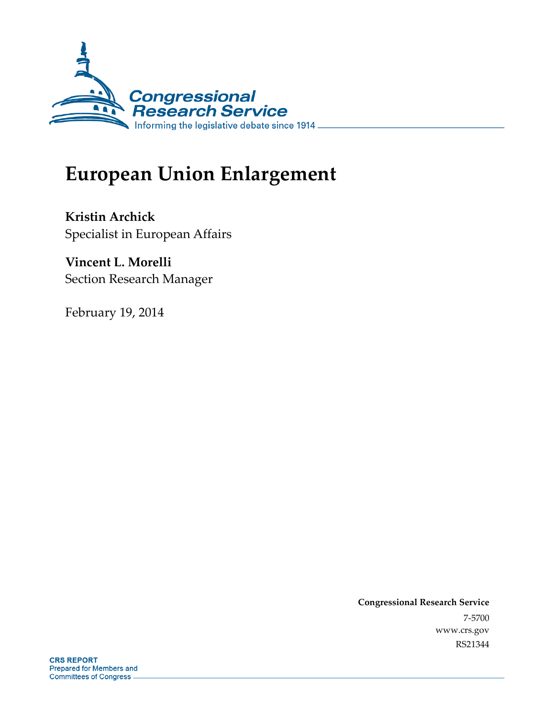

# **European Union Enlargement**

**Kristin Archick**  Specialist in European Affairs

**Vincent L. Morelli**  Section Research Manager

February 19, 2014

**Congressional Research Service**  7-5700 www.crs.gov RS21344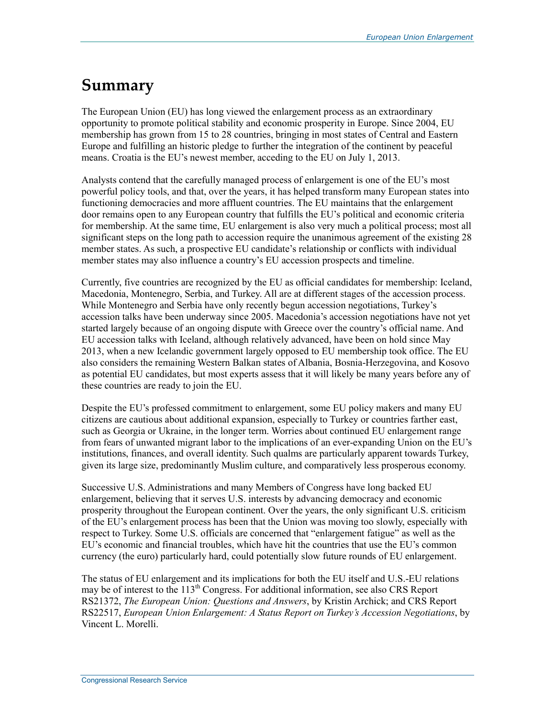## **Summary**

The European Union (EU) has long viewed the enlargement process as an extraordinary opportunity to promote political stability and economic prosperity in Europe. Since 2004, EU membership has grown from 15 to 28 countries, bringing in most states of Central and Eastern Europe and fulfilling an historic pledge to further the integration of the continent by peaceful means. Croatia is the EU's newest member, acceding to the EU on July 1, 2013.

Analysts contend that the carefully managed process of enlargement is one of the EU's most powerful policy tools, and that, over the years, it has helped transform many European states into functioning democracies and more affluent countries. The EU maintains that the enlargement door remains open to any European country that fulfills the EU's political and economic criteria for membership. At the same time, EU enlargement is also very much a political process; most all significant steps on the long path to accession require the unanimous agreement of the existing 28 member states. As such, a prospective EU candidate's relationship or conflicts with individual member states may also influence a country's EU accession prospects and timeline.

Currently, five countries are recognized by the EU as official candidates for membership: Iceland, Macedonia, Montenegro, Serbia, and Turkey. All are at different stages of the accession process. While Montenegro and Serbia have only recently begun accession negotiations, Turkey's accession talks have been underway since 2005. Macedonia's accession negotiations have not yet started largely because of an ongoing dispute with Greece over the country's official name. And EU accession talks with Iceland, although relatively advanced, have been on hold since May 2013, when a new Icelandic government largely opposed to EU membership took office. The EU also considers the remaining Western Balkan states of Albania, Bosnia-Herzegovina, and Kosovo as potential EU candidates, but most experts assess that it will likely be many years before any of these countries are ready to join the EU.

Despite the EU's professed commitment to enlargement, some EU policy makers and many EU citizens are cautious about additional expansion, especially to Turkey or countries farther east, such as Georgia or Ukraine, in the longer term. Worries about continued EU enlargement range from fears of unwanted migrant labor to the implications of an ever-expanding Union on the EU's institutions, finances, and overall identity. Such qualms are particularly apparent towards Turkey, given its large size, predominantly Muslim culture, and comparatively less prosperous economy.

Successive U.S. Administrations and many Members of Congress have long backed EU enlargement, believing that it serves U.S. interests by advancing democracy and economic prosperity throughout the European continent. Over the years, the only significant U.S. criticism of the EU's enlargement process has been that the Union was moving too slowly, especially with respect to Turkey. Some U.S. officials are concerned that "enlargement fatigue" as well as the EU's economic and financial troubles, which have hit the countries that use the EU's common currency (the euro) particularly hard, could potentially slow future rounds of EU enlargement.

The status of EU enlargement and its implications for both the EU itself and U.S.-EU relations may be of interest to the 113<sup>th</sup> Congress. For additional information, see also CRS Report RS21372, *The European Union: Questions and Answers*, by Kristin Archick; and CRS Report RS22517, *European Union Enlargement: A Status Report on Turkey's Accession Negotiations*, by Vincent L. Morelli.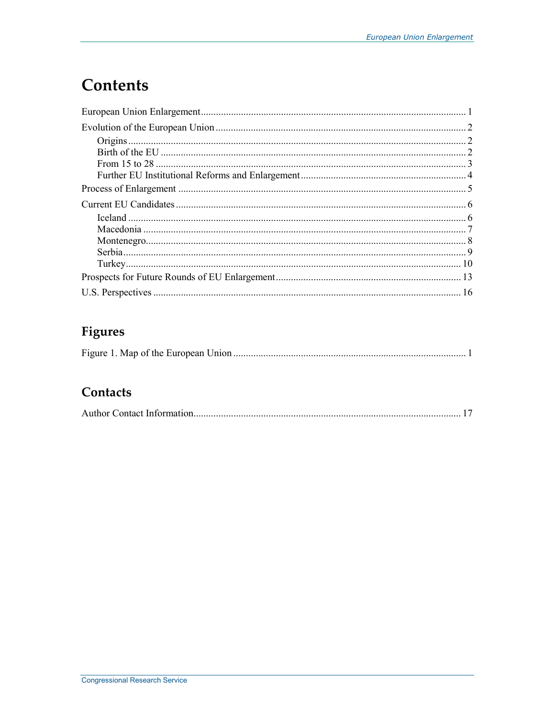# **Contents**

## Figures

### Contacts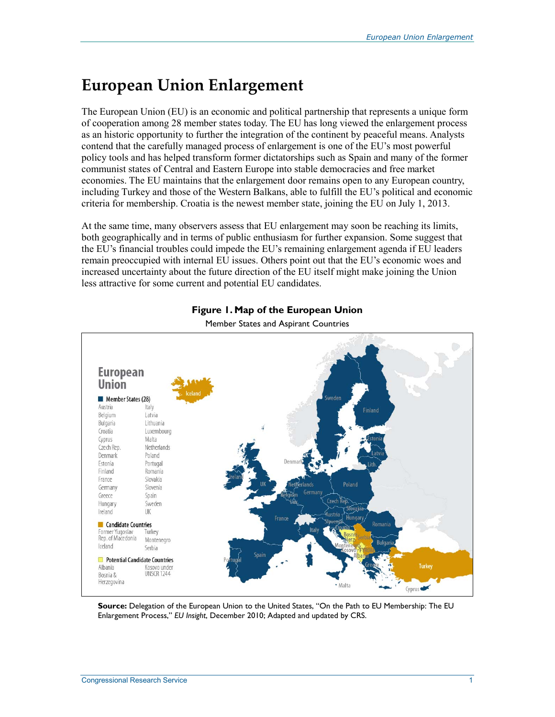# **European Union Enlargement**

The European Union (EU) is an economic and political partnership that represents a unique form of cooperation among 28 member states today. The EU has long viewed the enlargement process as an historic opportunity to further the integration of the continent by peaceful means. Analysts contend that the carefully managed process of enlargement is one of the EU's most powerful policy tools and has helped transform former dictatorships such as Spain and many of the former communist states of Central and Eastern Europe into stable democracies and free market economies. The EU maintains that the enlargement door remains open to any European country, including Turkey and those of the Western Balkans, able to fulfill the EU's political and economic criteria for membership. Croatia is the newest member state, joining the EU on July 1, 2013.

At the same time, many observers assess that EU enlargement may soon be reaching its limits, both geographically and in terms of public enthusiasm for further expansion. Some suggest that the EU's financial troubles could impede the EU's remaining enlargement agenda if EU leaders remain preoccupied with internal EU issues. Others point out that the EU's economic woes and increased uncertainty about the future direction of the EU itself might make joining the Union less attractive for some current and potential EU candidates.



#### **Figure 1. Map of the European Union**

Member States and Aspirant Countries

**Source:** Delegation of the European Union to the United States, "On the Path to EU Membership: The EU Enlargement Process," *EU Insight*, December 2010; Adapted and updated by CRS.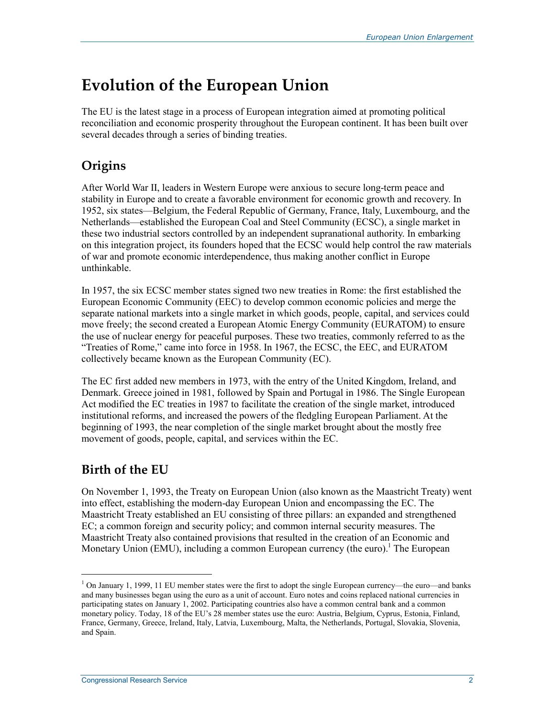## **Evolution of the European Union**

The EU is the latest stage in a process of European integration aimed at promoting political reconciliation and economic prosperity throughout the European continent. It has been built over several decades through a series of binding treaties.

### **Origins**

After World War II, leaders in Western Europe were anxious to secure long-term peace and stability in Europe and to create a favorable environment for economic growth and recovery. In 1952, six states—Belgium, the Federal Republic of Germany, France, Italy, Luxembourg, and the Netherlands—established the European Coal and Steel Community (ECSC), a single market in these two industrial sectors controlled by an independent supranational authority. In embarking on this integration project, its founders hoped that the ECSC would help control the raw materials of war and promote economic interdependence, thus making another conflict in Europe unthinkable.

In 1957, the six ECSC member states signed two new treaties in Rome: the first established the European Economic Community (EEC) to develop common economic policies and merge the separate national markets into a single market in which goods, people, capital, and services could move freely; the second created a European Atomic Energy Community (EURATOM) to ensure the use of nuclear energy for peaceful purposes. These two treaties, commonly referred to as the "Treaties of Rome," came into force in 1958. In 1967, the ECSC, the EEC, and EURATOM collectively became known as the European Community (EC).

The EC first added new members in 1973, with the entry of the United Kingdom, Ireland, and Denmark. Greece joined in 1981, followed by Spain and Portugal in 1986. The Single European Act modified the EC treaties in 1987 to facilitate the creation of the single market, introduced institutional reforms, and increased the powers of the fledgling European Parliament. At the beginning of 1993, the near completion of the single market brought about the mostly free movement of goods, people, capital, and services within the EC.

### **Birth of the EU**

 $\overline{a}$ 

On November 1, 1993, the Treaty on European Union (also known as the Maastricht Treaty) went into effect, establishing the modern-day European Union and encompassing the EC. The Maastricht Treaty established an EU consisting of three pillars: an expanded and strengthened EC; a common foreign and security policy; and common internal security measures. The Maastricht Treaty also contained provisions that resulted in the creation of an Economic and Monetary Union (EMU), including a common European currency (the euro).<sup>1</sup> The European

<sup>&</sup>lt;sup>1</sup> On January 1, 1999, 11 EU member states were the first to adopt the single European currency—the euro—and banks and many businesses began using the euro as a unit of account. Euro notes and coins replaced national currencies in participating states on January 1, 2002. Participating countries also have a common central bank and a common monetary policy. Today, 18 of the EU's 28 member states use the euro: Austria, Belgium, Cyprus, Estonia, Finland, France, Germany, Greece, Ireland, Italy, Latvia, Luxembourg, Malta, the Netherlands, Portugal, Slovakia, Slovenia, and Spain.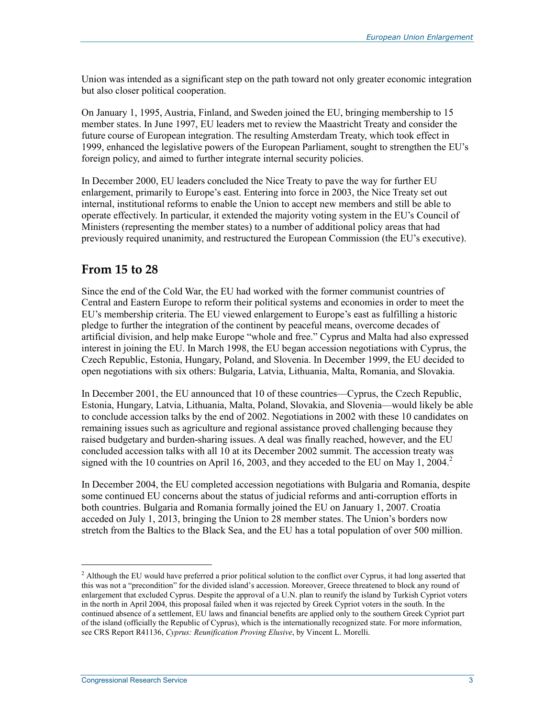Union was intended as a significant step on the path toward not only greater economic integration but also closer political cooperation.

On January 1, 1995, Austria, Finland, and Sweden joined the EU, bringing membership to 15 member states. In June 1997, EU leaders met to review the Maastricht Treaty and consider the future course of European integration. The resulting Amsterdam Treaty, which took effect in 1999, enhanced the legislative powers of the European Parliament, sought to strengthen the EU's foreign policy, and aimed to further integrate internal security policies.

In December 2000, EU leaders concluded the Nice Treaty to pave the way for further EU enlargement, primarily to Europe's east. Entering into force in 2003, the Nice Treaty set out internal, institutional reforms to enable the Union to accept new members and still be able to operate effectively. In particular, it extended the majority voting system in the EU's Council of Ministers (representing the member states) to a number of additional policy areas that had previously required unanimity, and restructured the European Commission (the EU's executive).

#### **From 15 to 28**

Since the end of the Cold War, the EU had worked with the former communist countries of Central and Eastern Europe to reform their political systems and economies in order to meet the EU's membership criteria. The EU viewed enlargement to Europe's east as fulfilling a historic pledge to further the integration of the continent by peaceful means, overcome decades of artificial division, and help make Europe "whole and free." Cyprus and Malta had also expressed interest in joining the EU. In March 1998, the EU began accession negotiations with Cyprus, the Czech Republic, Estonia, Hungary, Poland, and Slovenia. In December 1999, the EU decided to open negotiations with six others: Bulgaria, Latvia, Lithuania, Malta, Romania, and Slovakia.

In December 2001, the EU announced that 10 of these countries—Cyprus, the Czech Republic, Estonia, Hungary, Latvia, Lithuania, Malta, Poland, Slovakia, and Slovenia—would likely be able to conclude accession talks by the end of 2002. Negotiations in 2002 with these 10 candidates on remaining issues such as agriculture and regional assistance proved challenging because they raised budgetary and burden-sharing issues. A deal was finally reached, however, and the EU concluded accession talks with all 10 at its December 2002 summit. The accession treaty was signed with the 10 countries on April 16, 2003, and they acceded to the EU on May 1, 2004.<sup>2</sup>

In December 2004, the EU completed accession negotiations with Bulgaria and Romania, despite some continued EU concerns about the status of judicial reforms and anti-corruption efforts in both countries. Bulgaria and Romania formally joined the EU on January 1, 2007. Croatia acceded on July 1, 2013, bringing the Union to 28 member states. The Union's borders now stretch from the Baltics to the Black Sea, and the EU has a total population of over 500 million.

<sup>&</sup>lt;sup>2</sup> Although the EU would have preferred a prior political solution to the conflict over Cyprus, it had long asserted that this was not a "precondition" for the divided island's accession. Moreover, Greece threatened to block any round of enlargement that excluded Cyprus. Despite the approval of a U.N. plan to reunify the island by Turkish Cypriot voters in the north in April 2004, this proposal failed when it was rejected by Greek Cypriot voters in the south. In the continued absence of a settlement, EU laws and financial benefits are applied only to the southern Greek Cypriot part of the island (officially the Republic of Cyprus), which is the internationally recognized state. For more information, see CRS Report R41136, *Cyprus: Reunification Proving Elusive*, by Vincent L. Morelli.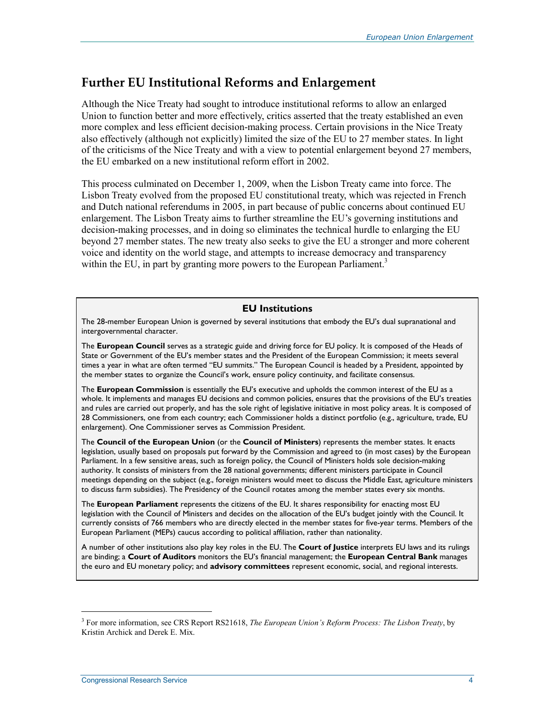#### **Further EU Institutional Reforms and Enlargement**

Although the Nice Treaty had sought to introduce institutional reforms to allow an enlarged Union to function better and more effectively, critics asserted that the treaty established an even more complex and less efficient decision-making process. Certain provisions in the Nice Treaty also effectively (although not explicitly) limited the size of the EU to 27 member states. In light of the criticisms of the Nice Treaty and with a view to potential enlargement beyond 27 members, the EU embarked on a new institutional reform effort in 2002.

This process culminated on December 1, 2009, when the Lisbon Treaty came into force. The Lisbon Treaty evolved from the proposed EU constitutional treaty, which was rejected in French and Dutch national referendums in 2005, in part because of public concerns about continued EU enlargement. The Lisbon Treaty aims to further streamline the EU's governing institutions and decision-making processes, and in doing so eliminates the technical hurdle to enlarging the EU beyond 27 member states. The new treaty also seeks to give the EU a stronger and more coherent voice and identity on the world stage, and attempts to increase democracy and transparency within the EU, in part by granting more powers to the European Parliament.<sup>3</sup>

#### **EU Institutions**

The 28-member European Union is governed by several institutions that embody the EU's dual supranational and intergovernmental character.

The **European Council** serves as a strategic guide and driving force for EU policy. It is composed of the Heads of State or Government of the EU's member states and the President of the European Commission; it meets several times a year in what are often termed "EU summits." The European Council is headed by a President, appointed by the member states to organize the Council's work, ensure policy continuity, and facilitate consensus.

The **European Commission** is essentially the EU's executive and upholds the common interest of the EU as a whole. It implements and manages EU decisions and common policies, ensures that the provisions of the EU's treaties and rules are carried out properly, and has the sole right of legislative initiative in most policy areas. It is composed of 28 Commissioners, one from each country; each Commissioner holds a distinct portfolio (e.g., agriculture, trade, EU enlargement). One Commissioner serves as Commission President.

The **Council of the European Union** (or the **Council of Ministers**) represents the member states. It enacts legislation, usually based on proposals put forward by the Commission and agreed to (in most cases) by the European Parliament. In a few sensitive areas, such as foreign policy, the Council of Ministers holds sole decision-making authority. It consists of ministers from the 28 national governments; different ministers participate in Council meetings depending on the subject (e.g., foreign ministers would meet to discuss the Middle East, agriculture ministers to discuss farm subsidies). The Presidency of the Council rotates among the member states every six months.

The **European Parliament** represents the citizens of the EU. It shares responsibility for enacting most EU legislation with the Council of Ministers and decides on the allocation of the EU's budget jointly with the Council. It currently consists of 766 members who are directly elected in the member states for five-year terms. Members of the European Parliament (MEPs) caucus according to political affiliation, rather than nationality.

A number of other institutions also play key roles in the EU. The **Court of Justice** interprets EU laws and its rulings are binding; a **Court of Auditors** monitors the EU's financial management; the **European Central Bank** manages the euro and EU monetary policy; and **advisory committees** represent economic, social, and regional interests.

<sup>3</sup> For more information, see CRS Report RS21618, *The European Union's Reform Process: The Lisbon Treaty*, by Kristin Archick and Derek E. Mix.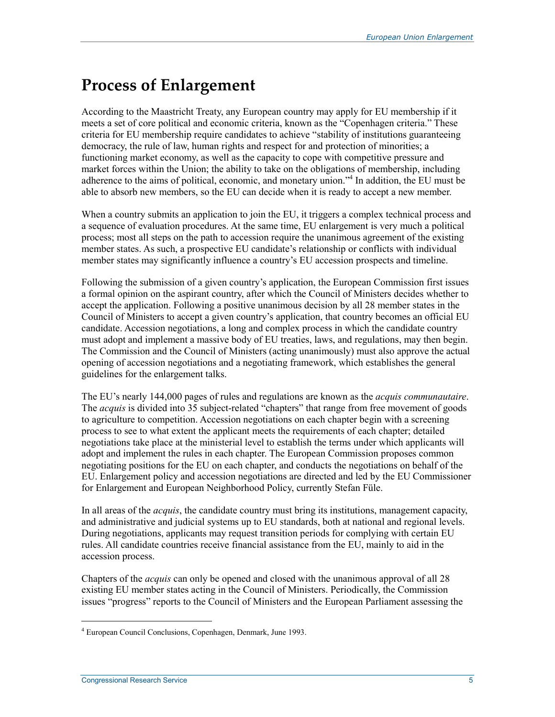# **Process of Enlargement**

According to the Maastricht Treaty, any European country may apply for EU membership if it meets a set of core political and economic criteria, known as the "Copenhagen criteria." These criteria for EU membership require candidates to achieve "stability of institutions guaranteeing democracy, the rule of law, human rights and respect for and protection of minorities; a functioning market economy, as well as the capacity to cope with competitive pressure and market forces within the Union; the ability to take on the obligations of membership, including adherence to the aims of political, economic, and monetary union."4 In addition, the EU must be able to absorb new members, so the EU can decide when it is ready to accept a new member.

When a country submits an application to join the EU, it triggers a complex technical process and a sequence of evaluation procedures. At the same time, EU enlargement is very much a political process; most all steps on the path to accession require the unanimous agreement of the existing member states. As such, a prospective EU candidate's relationship or conflicts with individual member states may significantly influence a country's EU accession prospects and timeline.

Following the submission of a given country's application, the European Commission first issues a formal opinion on the aspirant country, after which the Council of Ministers decides whether to accept the application. Following a positive unanimous decision by all 28 member states in the Council of Ministers to accept a given country's application, that country becomes an official EU candidate. Accession negotiations, a long and complex process in which the candidate country must adopt and implement a massive body of EU treaties, laws, and regulations, may then begin. The Commission and the Council of Ministers (acting unanimously) must also approve the actual opening of accession negotiations and a negotiating framework, which establishes the general guidelines for the enlargement talks.

The EU's nearly 144,000 pages of rules and regulations are known as the *acquis communautaire*. The *acquis* is divided into 35 subject-related "chapters" that range from free movement of goods to agriculture to competition. Accession negotiations on each chapter begin with a screening process to see to what extent the applicant meets the requirements of each chapter; detailed negotiations take place at the ministerial level to establish the terms under which applicants will adopt and implement the rules in each chapter. The European Commission proposes common negotiating positions for the EU on each chapter, and conducts the negotiations on behalf of the EU. Enlargement policy and accession negotiations are directed and led by the EU Commissioner for Enlargement and European Neighborhood Policy, currently Stefan Füle.

In all areas of the *acquis*, the candidate country must bring its institutions, management capacity, and administrative and judicial systems up to EU standards, both at national and regional levels. During negotiations, applicants may request transition periods for complying with certain EU rules. All candidate countries receive financial assistance from the EU, mainly to aid in the accession process.

Chapters of the *acquis* can only be opened and closed with the unanimous approval of all 28 existing EU member states acting in the Council of Ministers. Periodically, the Commission issues "progress" reports to the Council of Ministers and the European Parliament assessing the

<sup>4</sup> European Council Conclusions, Copenhagen, Denmark, June 1993.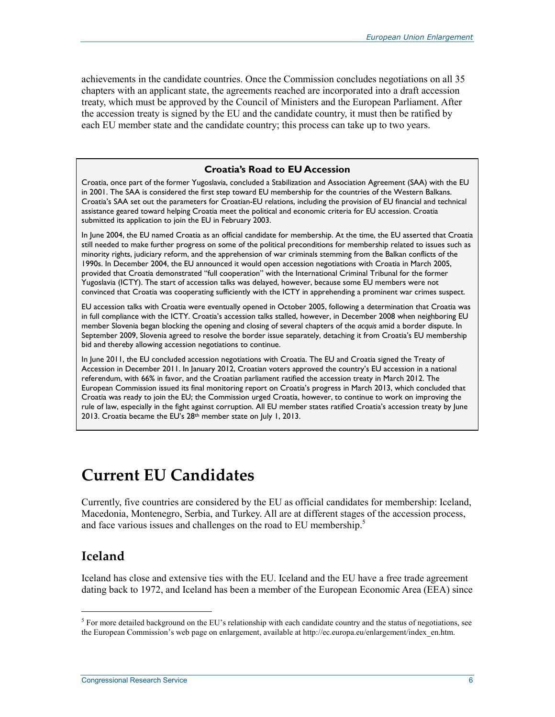achievements in the candidate countries. Once the Commission concludes negotiations on all 35 chapters with an applicant state, the agreements reached are incorporated into a draft accession treaty, which must be approved by the Council of Ministers and the European Parliament. After the accession treaty is signed by the EU and the candidate country, it must then be ratified by each EU member state and the candidate country; this process can take up to two years.

#### **Croatia's Road to EU Accession**

Croatia, once part of the former Yugoslavia, concluded a Stabilization and Association Agreement (SAA) with the EU in 2001. The SAA is considered the first step toward EU membership for the countries of the Western Balkans. Croatia's SAA set out the parameters for Croatian-EU relations, including the provision of EU financial and technical assistance geared toward helping Croatia meet the political and economic criteria for EU accession. Croatia submitted its application to join the EU in February 2003.

In June 2004, the EU named Croatia as an official candidate for membership. At the time, the EU asserted that Croatia still needed to make further progress on some of the political preconditions for membership related to issues such as minority rights, judiciary reform, and the apprehension of war criminals stemming from the Balkan conflicts of the 1990s. In December 2004, the EU announced it would open accession negotiations with Croatia in March 2005, provided that Croatia demonstrated "full cooperation" with the International Criminal Tribunal for the former Yugoslavia (ICTY). The start of accession talks was delayed, however, because some EU members were not convinced that Croatia was cooperating sufficiently with the ICTY in apprehending a prominent war crimes suspect.

EU accession talks with Croatia were eventually opened in October 2005, following a determination that Croatia was in full compliance with the ICTY. Croatia's accession talks stalled, however, in December 2008 when neighboring EU member Slovenia began blocking the opening and closing of several chapters of the *acquis* amid a border dispute. In September 2009, Slovenia agreed to resolve the border issue separately, detaching it from Croatia's EU membership bid and thereby allowing accession negotiations to continue.

In June 2011, the EU concluded accession negotiations with Croatia. The EU and Croatia signed the Treaty of Accession in December 2011. In January 2012, Croatian voters approved the country's EU accession in a national referendum, with 66% in favor, and the Croatian parliament ratified the accession treaty in March 2012. The European Commission issued its final monitoring report on Croatia's progress in March 2013, which concluded that Croatia was ready to join the EU; the Commission urged Croatia, however, to continue to work on improving the rule of law, especially in the fight against corruption. All EU member states ratified Croatia's accession treaty by June 2013. Croatia became the EU's 28th member state on July 1, 2013.

## **Current EU Candidates**

Currently, five countries are considered by the EU as official candidates for membership: Iceland, Macedonia, Montenegro, Serbia, and Turkey. All are at different stages of the accession process, and face various issues and challenges on the road to EU membership.<sup>5</sup>

### **Iceland**

1

Iceland has close and extensive ties with the EU. Iceland and the EU have a free trade agreement dating back to 1972, and Iceland has been a member of the European Economic Area (EEA) since

 $<sup>5</sup>$  For more detailed background on the EU's relationship with each candidate country and the status of negotiations, see</sup> the European Commission's web page on enlargement, available at http://ec.europa.eu/enlargement/index\_en.htm.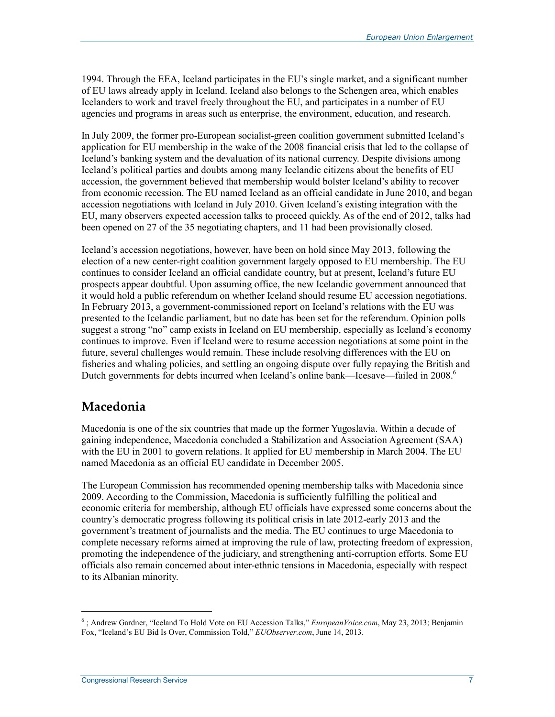1994. Through the EEA, Iceland participates in the EU's single market, and a significant number of EU laws already apply in Iceland. Iceland also belongs to the Schengen area, which enables Icelanders to work and travel freely throughout the EU, and participates in a number of EU agencies and programs in areas such as enterprise, the environment, education, and research.

In July 2009, the former pro-European socialist-green coalition government submitted Iceland's application for EU membership in the wake of the 2008 financial crisis that led to the collapse of Iceland's banking system and the devaluation of its national currency. Despite divisions among Iceland's political parties and doubts among many Icelandic citizens about the benefits of EU accession, the government believed that membership would bolster Iceland's ability to recover from economic recession. The EU named Iceland as an official candidate in June 2010, and began accession negotiations with Iceland in July 2010. Given Iceland's existing integration with the EU, many observers expected accession talks to proceed quickly. As of the end of 2012, talks had been opened on 27 of the 35 negotiating chapters, and 11 had been provisionally closed.

Iceland's accession negotiations, however, have been on hold since May 2013, following the election of a new center-right coalition government largely opposed to EU membership. The EU continues to consider Iceland an official candidate country, but at present, Iceland's future EU prospects appear doubtful. Upon assuming office, the new Icelandic government announced that it would hold a public referendum on whether Iceland should resume EU accession negotiations. In February 2013, a government-commissioned report on Iceland's relations with the EU was presented to the Icelandic parliament, but no date has been set for the referendum. Opinion polls suggest a strong "no" camp exists in Iceland on EU membership, especially as Iceland's economy continues to improve. Even if Iceland were to resume accession negotiations at some point in the future, several challenges would remain. These include resolving differences with the EU on fisheries and whaling policies, and settling an ongoing dispute over fully repaying the British and Dutch governments for debts incurred when Iceland's online bank—Icesave—failed in 2008.<sup>6</sup>

### **Macedonia**

Macedonia is one of the six countries that made up the former Yugoslavia. Within a decade of gaining independence, Macedonia concluded a Stabilization and Association Agreement (SAA) with the EU in 2001 to govern relations. It applied for EU membership in March 2004. The EU named Macedonia as an official EU candidate in December 2005.

The European Commission has recommended opening membership talks with Macedonia since 2009. According to the Commission, Macedonia is sufficiently fulfilling the political and economic criteria for membership, although EU officials have expressed some concerns about the country's democratic progress following its political crisis in late 2012-early 2013 and the government's treatment of journalists and the media. The EU continues to urge Macedonia to complete necessary reforms aimed at improving the rule of law, protecting freedom of expression, promoting the independence of the judiciary, and strengthening anti-corruption efforts. Some EU officials also remain concerned about inter-ethnic tensions in Macedonia, especially with respect to its Albanian minority.

<sup>6</sup> ; Andrew Gardner, "Iceland To Hold Vote on EU Accession Talks," *EuropeanVoice.com*, May 23, 2013; Benjamin Fox, "Iceland's EU Bid Is Over, Commission Told," *EUObserver.com*, June 14, 2013.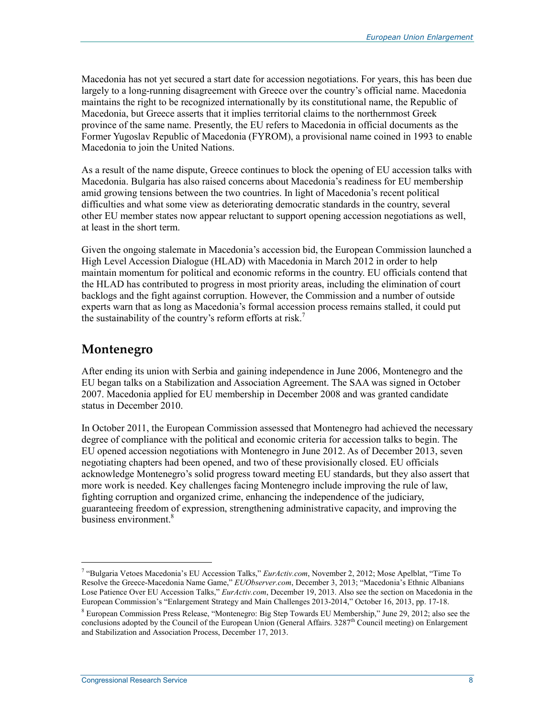Macedonia has not yet secured a start date for accession negotiations. For years, this has been due largely to a long-running disagreement with Greece over the country's official name. Macedonia maintains the right to be recognized internationally by its constitutional name, the Republic of Macedonia, but Greece asserts that it implies territorial claims to the northernmost Greek province of the same name. Presently, the EU refers to Macedonia in official documents as the Former Yugoslav Republic of Macedonia (FYROM), a provisional name coined in 1993 to enable Macedonia to join the United Nations.

As a result of the name dispute, Greece continues to block the opening of EU accession talks with Macedonia. Bulgaria has also raised concerns about Macedonia's readiness for EU membership amid growing tensions between the two countries. In light of Macedonia's recent political difficulties and what some view as deteriorating democratic standards in the country, several other EU member states now appear reluctant to support opening accession negotiations as well, at least in the short term.

Given the ongoing stalemate in Macedonia's accession bid, the European Commission launched a High Level Accession Dialogue (HLAD) with Macedonia in March 2012 in order to help maintain momentum for political and economic reforms in the country. EU officials contend that the HLAD has contributed to progress in most priority areas, including the elimination of court backlogs and the fight against corruption. However, the Commission and a number of outside experts warn that as long as Macedonia's formal accession process remains stalled, it could put the sustainability of the country's reform efforts at risk.<sup>7</sup>

### **Montenegro**

After ending its union with Serbia and gaining independence in June 2006, Montenegro and the EU began talks on a Stabilization and Association Agreement. The SAA was signed in October 2007. Macedonia applied for EU membership in December 2008 and was granted candidate status in December 2010.

In October 2011, the European Commission assessed that Montenegro had achieved the necessary degree of compliance with the political and economic criteria for accession talks to begin. The EU opened accession negotiations with Montenegro in June 2012. As of December 2013, seven negotiating chapters had been opened, and two of these provisionally closed. EU officials acknowledge Montenegro's solid progress toward meeting EU standards, but they also assert that more work is needed. Key challenges facing Montenegro include improving the rule of law, fighting corruption and organized crime, enhancing the independence of the judiciary, guaranteeing freedom of expression, strengthening administrative capacity, and improving the business environment.<sup>8</sup>

<sup>7</sup> "Bulgaria Vetoes Macedonia's EU Accession Talks," *EurActiv.com*, November 2, 2012; Mose Apelblat, "Time To Resolve the Greece-Macedonia Name Game," *EUObserver.com*, December 3, 2013; "Macedonia's Ethnic Albanians Lose Patience Over EU Accession Talks," *EurActiv.com*, December 19, 2013. Also see the section on Macedonia in the European Commission's "Enlargement Strategy and Main Challenges 2013-2014," October 16, 2013, pp. 17-18.

<sup>&</sup>lt;sup>8</sup> European Commission Press Release, "Montenegro: Big Step Towards EU Membership," June 29, 2012; also see the conclusions adopted by the Council of the European Union (General Affairs.  $3287<sup>th</sup>$  Council meeting) on Enlargement and Stabilization and Association Process, December 17, 2013.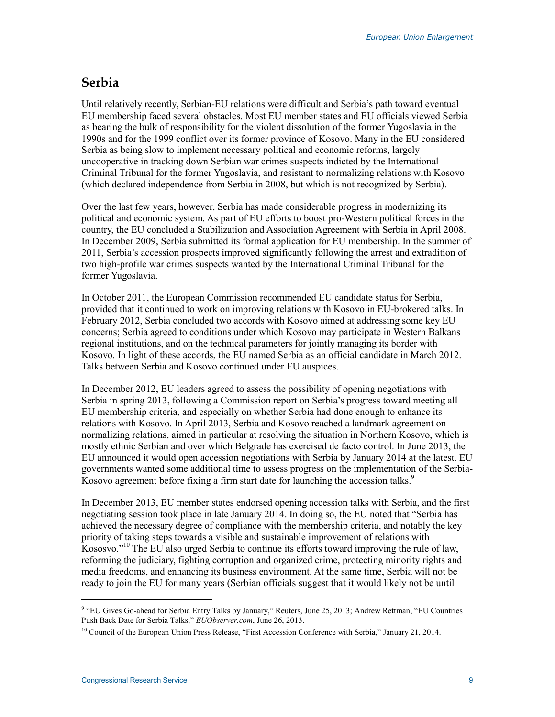### **Serbia**

Until relatively recently, Serbian-EU relations were difficult and Serbia's path toward eventual EU membership faced several obstacles. Most EU member states and EU officials viewed Serbia as bearing the bulk of responsibility for the violent dissolution of the former Yugoslavia in the 1990s and for the 1999 conflict over its former province of Kosovo. Many in the EU considered Serbia as being slow to implement necessary political and economic reforms, largely uncooperative in tracking down Serbian war crimes suspects indicted by the International Criminal Tribunal for the former Yugoslavia, and resistant to normalizing relations with Kosovo (which declared independence from Serbia in 2008, but which is not recognized by Serbia).

Over the last few years, however, Serbia has made considerable progress in modernizing its political and economic system. As part of EU efforts to boost pro-Western political forces in the country, the EU concluded a Stabilization and Association Agreement with Serbia in April 2008. In December 2009, Serbia submitted its formal application for EU membership. In the summer of 2011, Serbia's accession prospects improved significantly following the arrest and extradition of two high-profile war crimes suspects wanted by the International Criminal Tribunal for the former Yugoslavia.

In October 2011, the European Commission recommended EU candidate status for Serbia, provided that it continued to work on improving relations with Kosovo in EU-brokered talks. In February 2012, Serbia concluded two accords with Kosovo aimed at addressing some key EU concerns; Serbia agreed to conditions under which Kosovo may participate in Western Balkans regional institutions, and on the technical parameters for jointly managing its border with Kosovo. In light of these accords, the EU named Serbia as an official candidate in March 2012. Talks between Serbia and Kosovo continued under EU auspices.

In December 2012, EU leaders agreed to assess the possibility of opening negotiations with Serbia in spring 2013, following a Commission report on Serbia's progress toward meeting all EU membership criteria, and especially on whether Serbia had done enough to enhance its relations with Kosovo. In April 2013, Serbia and Kosovo reached a landmark agreement on normalizing relations, aimed in particular at resolving the situation in Northern Kosovo, which is mostly ethnic Serbian and over which Belgrade has exercised de facto control. In June 2013, the EU announced it would open accession negotiations with Serbia by January 2014 at the latest. EU governments wanted some additional time to assess progress on the implementation of the Serbia-Kosovo agreement before fixing a firm start date for launching the accession talks.<sup>9</sup>

In December 2013, EU member states endorsed opening accession talks with Serbia, and the first negotiating session took place in late January 2014. In doing so, the EU noted that "Serbia has achieved the necessary degree of compliance with the membership criteria, and notably the key priority of taking steps towards a visible and sustainable improvement of relations with Kososvo."<sup>10</sup> The EU also urged Serbia to continue its efforts toward improving the rule of law, reforming the judiciary, fighting corruption and organized crime, protecting minority rights and media freedoms, and enhancing its business environment. At the same time, Serbia will not be ready to join the EU for many years (Serbian officials suggest that it would likely not be until

<sup>&</sup>lt;sup>9</sup> "EU Gives Go-ahead for Serbia Entry Talks by January," Reuters, June 25, 2013; Andrew Rettman, "EU Countries Push Back Date for Serbia Talks," *EUObserver.com*, June 26, 2013.

 $10$  Council of the European Union Press Release, "First Accession Conference with Serbia," January 21, 2014.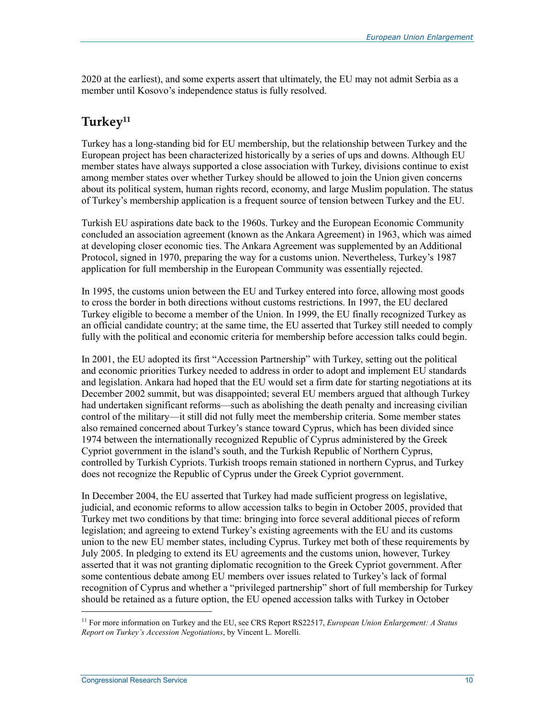2020 at the earliest), and some experts assert that ultimately, the EU may not admit Serbia as a member until Kosovo's independence status is fully resolved.

### **Turkey11**

Turkey has a long-standing bid for EU membership, but the relationship between Turkey and the European project has been characterized historically by a series of ups and downs. Although EU member states have always supported a close association with Turkey, divisions continue to exist among member states over whether Turkey should be allowed to join the Union given concerns about its political system, human rights record, economy, and large Muslim population. The status of Turkey's membership application is a frequent source of tension between Turkey and the EU.

Turkish EU aspirations date back to the 1960s. Turkey and the European Economic Community concluded an association agreement (known as the Ankara Agreement) in 1963, which was aimed at developing closer economic ties. The Ankara Agreement was supplemented by an Additional Protocol, signed in 1970, preparing the way for a customs union. Nevertheless, Turkey's 1987 application for full membership in the European Community was essentially rejected.

In 1995, the customs union between the EU and Turkey entered into force, allowing most goods to cross the border in both directions without customs restrictions. In 1997, the EU declared Turkey eligible to become a member of the Union. In 1999, the EU finally recognized Turkey as an official candidate country; at the same time, the EU asserted that Turkey still needed to comply fully with the political and economic criteria for membership before accession talks could begin.

In 2001, the EU adopted its first "Accession Partnership" with Turkey, setting out the political and economic priorities Turkey needed to address in order to adopt and implement EU standards and legislation. Ankara had hoped that the EU would set a firm date for starting negotiations at its December 2002 summit, but was disappointed; several EU members argued that although Turkey had undertaken significant reforms—such as abolishing the death penalty and increasing civilian control of the military—it still did not fully meet the membership criteria. Some member states also remained concerned about Turkey's stance toward Cyprus, which has been divided since 1974 between the internationally recognized Republic of Cyprus administered by the Greek Cypriot government in the island's south, and the Turkish Republic of Northern Cyprus, controlled by Turkish Cypriots. Turkish troops remain stationed in northern Cyprus, and Turkey does not recognize the Republic of Cyprus under the Greek Cypriot government.

In December 2004, the EU asserted that Turkey had made sufficient progress on legislative, judicial, and economic reforms to allow accession talks to begin in October 2005, provided that Turkey met two conditions by that time: bringing into force several additional pieces of reform legislation; and agreeing to extend Turkey's existing agreements with the EU and its customs union to the new EU member states, including Cyprus. Turkey met both of these requirements by July 2005. In pledging to extend its EU agreements and the customs union, however, Turkey asserted that it was not granting diplomatic recognition to the Greek Cypriot government. After some contentious debate among EU members over issues related to Turkey's lack of formal recognition of Cyprus and whether a "privileged partnership" short of full membership for Turkey should be retained as a future option, the EU opened accession talks with Turkey in October

<sup>11</sup> For more information on Turkey and the EU, see CRS Report RS22517, *European Union Enlargement: A Status Report on Turkey's Accession Negotiations*, by Vincent L. Morelli.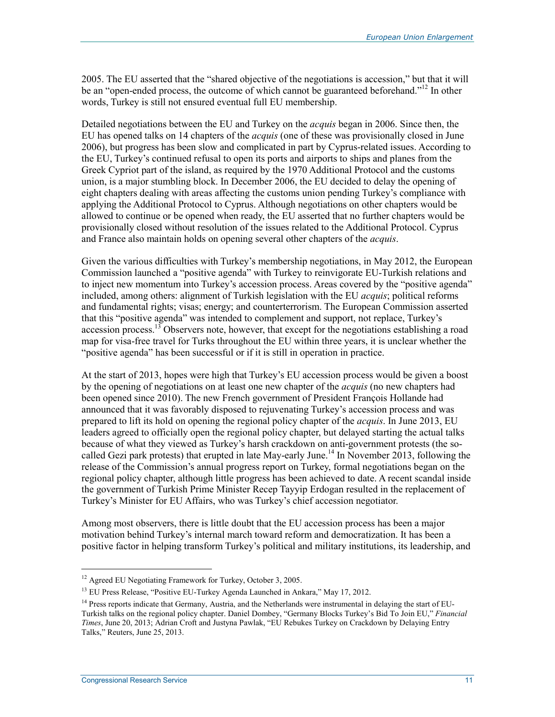2005. The EU asserted that the "shared objective of the negotiations is accession," but that it will be an "open-ended process, the outcome of which cannot be guaranteed beforehand."<sup>12</sup> In other words, Turkey is still not ensured eventual full EU membership.

Detailed negotiations between the EU and Turkey on the *acquis* began in 2006. Since then, the EU has opened talks on 14 chapters of the *acquis* (one of these was provisionally closed in June 2006), but progress has been slow and complicated in part by Cyprus-related issues. According to the EU, Turkey's continued refusal to open its ports and airports to ships and planes from the Greek Cypriot part of the island, as required by the 1970 Additional Protocol and the customs union, is a major stumbling block. In December 2006, the EU decided to delay the opening of eight chapters dealing with areas affecting the customs union pending Turkey's compliance with applying the Additional Protocol to Cyprus. Although negotiations on other chapters would be allowed to continue or be opened when ready, the EU asserted that no further chapters would be provisionally closed without resolution of the issues related to the Additional Protocol. Cyprus and France also maintain holds on opening several other chapters of the *acquis*.

Given the various difficulties with Turkey's membership negotiations, in May 2012, the European Commission launched a "positive agenda" with Turkey to reinvigorate EU-Turkish relations and to inject new momentum into Turkey's accession process. Areas covered by the "positive agenda" included, among others: alignment of Turkish legislation with the EU *acquis*; political reforms and fundamental rights; visas; energy; and counterterrorism. The European Commission asserted that this "positive agenda" was intended to complement and support, not replace, Turkey's accession process.<sup>13</sup> Observers note, however, that except for the negotiations establishing a road map for visa-free travel for Turks throughout the EU within three years, it is unclear whether the "positive agenda" has been successful or if it is still in operation in practice.

At the start of 2013, hopes were high that Turkey's EU accession process would be given a boost by the opening of negotiations on at least one new chapter of the *acquis* (no new chapters had been opened since 2010). The new French government of President François Hollande had announced that it was favorably disposed to rejuvenating Turkey's accession process and was prepared to lift its hold on opening the regional policy chapter of the *acquis*. In June 2013, EU leaders agreed to officially open the regional policy chapter, but delayed starting the actual talks because of what they viewed as Turkey's harsh crackdown on anti-government protests (the socalled Gezi park protests) that erupted in late May-early June.<sup>14</sup> In November 2013, following the release of the Commission's annual progress report on Turkey, formal negotiations began on the regional policy chapter, although little progress has been achieved to date. A recent scandal inside the government of Turkish Prime Minister Recep Tayyip Erdogan resulted in the replacement of Turkey's Minister for EU Affairs, who was Turkey's chief accession negotiator.

Among most observers, there is little doubt that the EU accession process has been a major motivation behind Turkey's internal march toward reform and democratization. It has been a positive factor in helping transform Turkey's political and military institutions, its leadership, and

 $\overline{a}$ 

<sup>&</sup>lt;sup>12</sup> Agreed EU Negotiating Framework for Turkey, October 3, 2005.

<sup>&</sup>lt;sup>13</sup> EU Press Release, "Positive EU-Turkey Agenda Launched in Ankara," May 17, 2012.

<sup>&</sup>lt;sup>14</sup> Press reports indicate that Germany, Austria, and the Netherlands were instrumental in delaying the start of EU-Turkish talks on the regional policy chapter. Daniel Dombey, "Germany Blocks Turkey's Bid To Join EU," *Financial Times*, June 20, 2013; Adrian Croft and Justyna Pawlak, "EU Rebukes Turkey on Crackdown by Delaying Entry Talks," Reuters, June 25, 2013.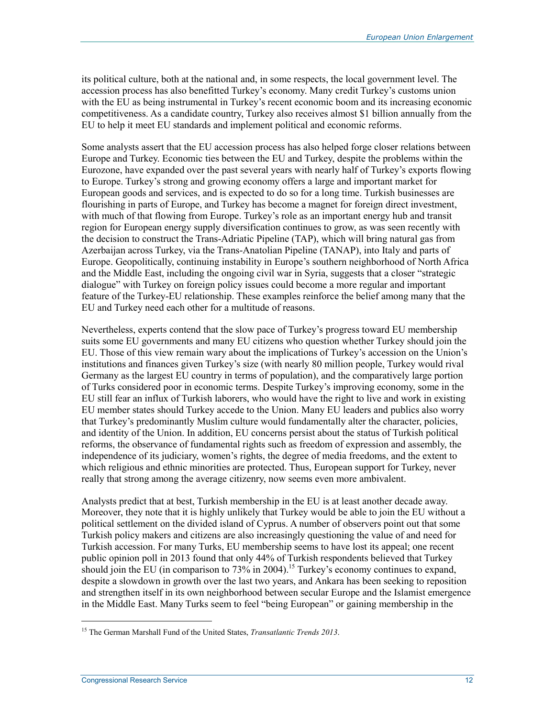its political culture, both at the national and, in some respects, the local government level. The accession process has also benefitted Turkey's economy. Many credit Turkey's customs union with the EU as being instrumental in Turkey's recent economic boom and its increasing economic competitiveness. As a candidate country, Turkey also receives almost \$1 billion annually from the EU to help it meet EU standards and implement political and economic reforms.

Some analysts assert that the EU accession process has also helped forge closer relations between Europe and Turkey. Economic ties between the EU and Turkey, despite the problems within the Eurozone, have expanded over the past several years with nearly half of Turkey's exports flowing to Europe. Turkey's strong and growing economy offers a large and important market for European goods and services, and is expected to do so for a long time. Turkish businesses are flourishing in parts of Europe, and Turkey has become a magnet for foreign direct investment, with much of that flowing from Europe. Turkey's role as an important energy hub and transit region for European energy supply diversification continues to grow, as was seen recently with the decision to construct the Trans-Adriatic Pipeline (TAP), which will bring natural gas from Azerbaijan across Turkey, via the Trans-Anatolian Pipeline (TANAP), into Italy and parts of Europe. Geopolitically, continuing instability in Europe's southern neighborhood of North Africa and the Middle East, including the ongoing civil war in Syria, suggests that a closer "strategic dialogue" with Turkey on foreign policy issues could become a more regular and important feature of the Turkey-EU relationship. These examples reinforce the belief among many that the EU and Turkey need each other for a multitude of reasons.

Nevertheless, experts contend that the slow pace of Turkey's progress toward EU membership suits some EU governments and many EU citizens who question whether Turkey should join the EU. Those of this view remain wary about the implications of Turkey's accession on the Union's institutions and finances given Turkey's size (with nearly 80 million people, Turkey would rival Germany as the largest EU country in terms of population), and the comparatively large portion of Turks considered poor in economic terms. Despite Turkey's improving economy, some in the EU still fear an influx of Turkish laborers, who would have the right to live and work in existing EU member states should Turkey accede to the Union. Many EU leaders and publics also worry that Turkey's predominantly Muslim culture would fundamentally alter the character, policies, and identity of the Union. In addition, EU concerns persist about the status of Turkish political reforms, the observance of fundamental rights such as freedom of expression and assembly, the independence of its judiciary, women's rights, the degree of media freedoms, and the extent to which religious and ethnic minorities are protected. Thus, European support for Turkey, never really that strong among the average citizenry, now seems even more ambivalent.

Analysts predict that at best, Turkish membership in the EU is at least another decade away. Moreover, they note that it is highly unlikely that Turkey would be able to join the EU without a political settlement on the divided island of Cyprus. A number of observers point out that some Turkish policy makers and citizens are also increasingly questioning the value of and need for Turkish accession. For many Turks, EU membership seems to have lost its appeal; one recent public opinion poll in 2013 found that only 44% of Turkish respondents believed that Turkey should join the EU (in comparison to  $73\%$  in 2004).<sup>15</sup> Turkey's economy continues to expand, despite a slowdown in growth over the last two years, and Ankara has been seeking to reposition and strengthen itself in its own neighborhood between secular Europe and the Islamist emergence in the Middle East. Many Turks seem to feel "being European" or gaining membership in the

<sup>15</sup> The German Marshall Fund of the United States, *Transatlantic Trends 2013*.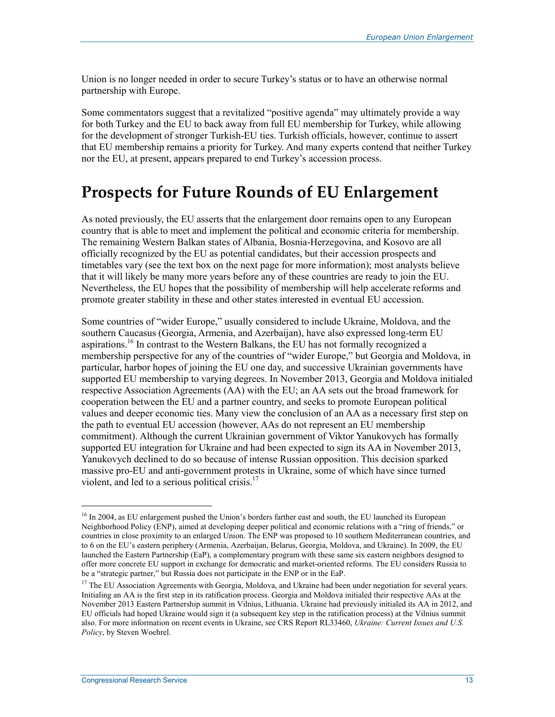Union is no longer needed in order to secure Turkey's status or to have an otherwise normal partnership with Europe.

Some commentators suggest that a revitalized "positive agenda" may ultimately provide a way for both Turkey and the EU to back away from full EU membership for Turkey, while allowing for the development of stronger Turkish-EU ties. Turkish officials, however, continue to assert that EU membership remains a priority for Turkey. And many experts contend that neither Turkey nor the EU, at present, appears prepared to end Turkey's accession process.

### **Prospects for Future Rounds of EU Enlargement**

As noted previously, the EU asserts that the enlargement door remains open to any European country that is able to meet and implement the political and economic criteria for membership. The remaining Western Balkan states of Albania, Bosnia-Herzegovina, and Kosovo are all officially recognized by the EU as potential candidates, but their accession prospects and timetables vary (see the text box on the next page for more information); most analysts believe that it will likely be many more years before any of these countries are ready to join the EU. Nevertheless, the EU hopes that the possibility of membership will help accelerate reforms and promote greater stability in these and other states interested in eventual EU accession.

Some countries of "wider Europe," usually considered to include Ukraine, Moldova, and the southern Caucasus (Georgia, Armenia, and Azerbaijan), have also expressed long-term EU aspirations.<sup>16</sup> In contrast to the Western Balkans, the EU has not formally recognized a membership perspective for any of the countries of "wider Europe," but Georgia and Moldova, in particular, harbor hopes of joining the EU one day, and successive Ukrainian governments have supported EU membership to varying degrees. In November 2013, Georgia and Moldova initialed respective Association Agreements (AA) with the EU; an AA sets out the broad framework for cooperation between the EU and a partner country, and seeks to promote European political values and deeper economic ties. Many view the conclusion of an AA as a necessary first step on the path to eventual EU accession (however, AAs do not represent an EU membership commitment). Although the current Ukrainian government of Viktor Yanukovych has formally supported EU integration for Ukraine and had been expected to sign its AA in November 2013, Yanukovych declined to do so because of intense Russian opposition. This decision sparked massive pro-EU and anti-government protests in Ukraine, some of which have since turned violent, and led to a serious political crisis.<sup>17</sup>

<sup>&</sup>lt;sup>16</sup> In 2004, as EU enlargement pushed the Union's borders farther east and south, the EU launched its European Neighborhood Policy (ENP), aimed at developing deeper political and economic relations with a "ring of friends," or countries in close proximity to an enlarged Union. The ENP was proposed to 10 southern Mediterranean countries, and to 6 on the EU's eastern periphery (Armenia, Azerbaijan, Belarus, Georgia, Moldova, and Ukraine). In 2009, the EU launched the Eastern Partnership (EaP), a complementary program with these same six eastern neighbors designed to offer more concrete EU support in exchange for democratic and market-oriented reforms. The EU considers Russia to be a "strategic partner," but Russia does not participate in the ENP or in the EaP.

<sup>&</sup>lt;sup>17</sup> The EU Association Agreements with Georgia, Moldova, and Ukraine had been under negotiation for several years. Initialing an AA is the first step in its ratification process. Georgia and Moldova initialed their respective AAs at the November 2013 Eastern Partnership summit in Vilnius, Lithuania. Ukraine had previously initialed its AA in 2012, and EU officials had hoped Ukraine would sign it (a subsequent key step in the ratification process) at the Vilnius summit also. For more information on recent events in Ukraine, see CRS Report RL33460, *Ukraine: Current Issues and U.S. Policy*, by Steven Woehrel.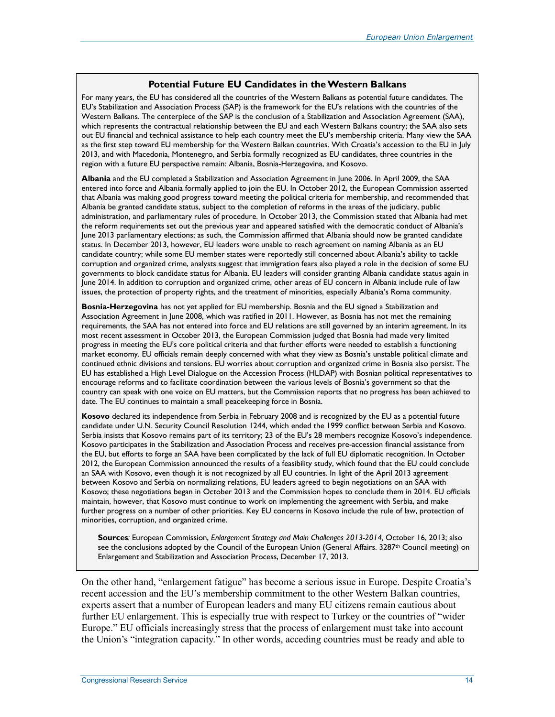#### **Potential Future EU Candidates in the Western Balkans**

For many years, the EU has considered all the countries of the Western Balkans as potential future candidates. The EU's Stabilization and Association Process (SAP) is the framework for the EU's relations with the countries of the Western Balkans. The centerpiece of the SAP is the conclusion of a Stabilization and Association Agreement (SAA), which represents the contractual relationship between the EU and each Western Balkans country; the SAA also sets out EU financial and technical assistance to help each country meet the EU's membership criteria. Many view the SAA as the first step toward EU membership for the Western Balkan countries. With Croatia's accession to the EU in July 2013, and with Macedonia, Montenegro, and Serbia formally recognized as EU candidates, three countries in the region with a future EU perspective remain: Albania, Bosnia-Herzegovina, and Kosovo.

**Albania** and the EU completed a Stabilization and Association Agreement in June 2006. In April 2009, the SAA entered into force and Albania formally applied to join the EU. In October 2012, the European Commission asserted that Albania was making good progress toward meeting the political criteria for membership, and recommended that Albania be granted candidate status, subject to the completion of reforms in the areas of the judiciary, public administration, and parliamentary rules of procedure. In October 2013, the Commission stated that Albania had met the reform requirements set out the previous year and appeared satisfied with the democratic conduct of Albania's June 2013 parliamentary elections; as such, the Commission affirmed that Albania should now be granted candidate status. In December 2013, however, EU leaders were unable to reach agreement on naming Albania as an EU candidate country; while some EU member states were reportedly still concerned about Albania's ability to tackle corruption and organized crime, analysts suggest that immigration fears also played a role in the decision of some EU governments to block candidate status for Albania. EU leaders will consider granting Albania candidate status again in June 2014. In addition to corruption and organized crime, other areas of EU concern in Albania include rule of law issues, the protection of property rights, and the treatment of minorities, especially Albania's Roma community.

**Bosnia-Herzegovina** has not yet applied for EU membership. Bosnia and the EU signed a Stabilization and Association Agreement in June 2008, which was ratified in 2011. However, as Bosnia has not met the remaining requirements, the SAA has not entered into force and EU relations are still governed by an interim agreement. In its most recent assessment in October 2013, the European Commission judged that Bosnia had made very limited progress in meeting the EU's core political criteria and that further efforts were needed to establish a functioning market economy. EU officials remain deeply concerned with what they view as Bosnia's unstable political climate and continued ethnic divisions and tensions. EU worries about corruption and organized crime in Bosnia also persist. The EU has established a High Level Dialogue on the Accession Process (HLDAP) with Bosnian political representatives to encourage reforms and to facilitate coordination between the various levels of Bosnia's government so that the country can speak with one voice on EU matters, but the Commission reports that no progress has been achieved to date. The EU continues to maintain a small peacekeeping force in Bosnia.

**Kosovo** declared its independence from Serbia in February 2008 and is recognized by the EU as a potential future candidate under U.N. Security Council Resolution 1244, which ended the 1999 conflict between Serbia and Kosovo. Serbia insists that Kosovo remains part of its territory; 23 of the EU's 28 members recognize Kosovo's independence. Kosovo participates in the Stabilization and Association Process and receives pre-accession financial assistance from the EU, but efforts to forge an SAA have been complicated by the lack of full EU diplomatic recognition. In October 2012, the European Commission announced the results of a feasibility study, which found that the EU could conclude an SAA with Kosovo, even though it is not recognized by all EU countries. In light of the April 2013 agreement between Kosovo and Serbia on normalizing relations, EU leaders agreed to begin negotiations on an SAA with Kosovo; these negotiations began in October 2013 and the Commission hopes to conclude them in 2014. EU officials maintain, however, that Kosovo must continue to work on implementing the agreement with Serbia, and make further progress on a number of other priorities. Key EU concerns in Kosovo include the rule of law, protection of minorities, corruption, and organized crime.

**Sources***:* European Commission, *Enlargement Strategy and Main Challenges 2013-2014,* October 16, 2013; also see the conclusions adopted by the Council of the European Union (General Affairs. 3287<sup>th</sup> Council meeting) on Enlargement and Stabilization and Association Process, December 17, 2013.

On the other hand, "enlargement fatigue" has become a serious issue in Europe. Despite Croatia's recent accession and the EU's membership commitment to the other Western Balkan countries, experts assert that a number of European leaders and many EU citizens remain cautious about further EU enlargement. This is especially true with respect to Turkey or the countries of "wider Europe." EU officials increasingly stress that the process of enlargement must take into account the Union's "integration capacity." In other words, acceding countries must be ready and able to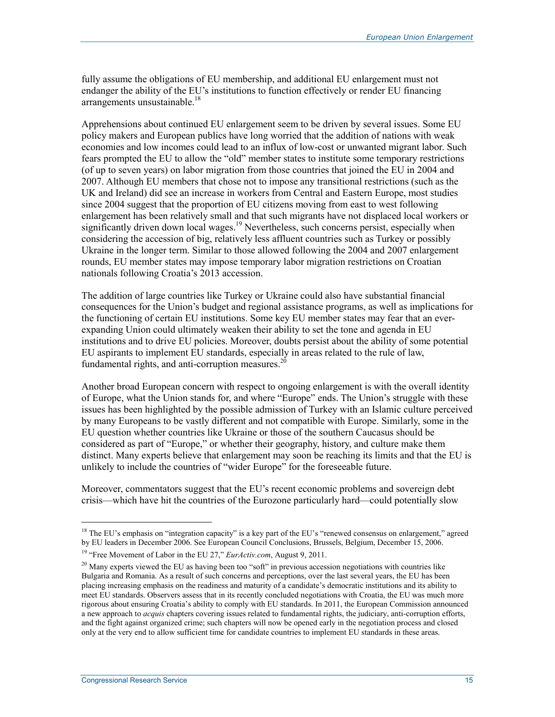fully assume the obligations of EU membership, and additional EU enlargement must not endanger the ability of the EU's institutions to function effectively or render EU financing arrangements unsustainable.<sup>18</sup>

Apprehensions about continued EU enlargement seem to be driven by several issues. Some EU policy makers and European publics have long worried that the addition of nations with weak economies and low incomes could lead to an influx of low-cost or unwanted migrant labor. Such fears prompted the EU to allow the "old" member states to institute some temporary restrictions (of up to seven years) on labor migration from those countries that joined the EU in 2004 and 2007. Although EU members that chose not to impose any transitional restrictions (such as the UK and Ireland) did see an increase in workers from Central and Eastern Europe, most studies since 2004 suggest that the proportion of EU citizens moving from east to west following enlargement has been relatively small and that such migrants have not displaced local workers or significantly driven down local wages.<sup>19</sup> Nevertheless, such concerns persist, especially when considering the accession of big, relatively less affluent countries such as Turkey or possibly Ukraine in the longer term. Similar to those allowed following the 2004 and 2007 enlargement rounds, EU member states may impose temporary labor migration restrictions on Croatian nationals following Croatia's 2013 accession.

The addition of large countries like Turkey or Ukraine could also have substantial financial consequences for the Union's budget and regional assistance programs, as well as implications for the functioning of certain EU institutions. Some key EU member states may fear that an everexpanding Union could ultimately weaken their ability to set the tone and agenda in EU institutions and to drive EU policies. Moreover, doubts persist about the ability of some potential EU aspirants to implement EU standards, especially in areas related to the rule of law, fundamental rights, and anti-corruption measures.<sup>20</sup>

Another broad European concern with respect to ongoing enlargement is with the overall identity of Europe, what the Union stands for, and where "Europe" ends. The Union's struggle with these issues has been highlighted by the possible admission of Turkey with an Islamic culture perceived by many Europeans to be vastly different and not compatible with Europe. Similarly, some in the EU question whether countries like Ukraine or those of the southern Caucasus should be considered as part of "Europe," or whether their geography, history, and culture make them distinct. Many experts believe that enlargement may soon be reaching its limits and that the EU is unlikely to include the countries of "wider Europe" for the foreseeable future.

Moreover, commentators suggest that the EU's recent economic problems and sovereign debt crisis—which have hit the countries of the Eurozone particularly hard—could potentially slow

 $\overline{a}$ 

<sup>&</sup>lt;sup>18</sup> The EU's emphasis on "integration capacity" is a key part of the EU's "renewed consensus on enlargement," agreed by EU leaders in December 2006. See European Council Conclusions, Brussels, Belgium, December 15, 2006.

<sup>19 &</sup>quot;Free Movement of Labor in the EU 27," *EurActiv.com*, August 9, 2011.

<sup>&</sup>lt;sup>20</sup> Many experts viewed the EU as having been too "soft" in previous accession negotiations with countries like Bulgaria and Romania. As a result of such concerns and perceptions, over the last several years, the EU has been placing increasing emphasis on the readiness and maturity of a candidate's democratic institutions and its ability to meet EU standards. Observers assess that in its recently concluded negotiations with Croatia, the EU was much more rigorous about ensuring Croatia's ability to comply with EU standards. In 2011, the European Commission announced a new approach to *acquis* chapters covering issues related to fundamental rights, the judiciary, anti-corruption efforts, and the fight against organized crime; such chapters will now be opened early in the negotiation process and closed only at the very end to allow sufficient time for candidate countries to implement EU standards in these areas.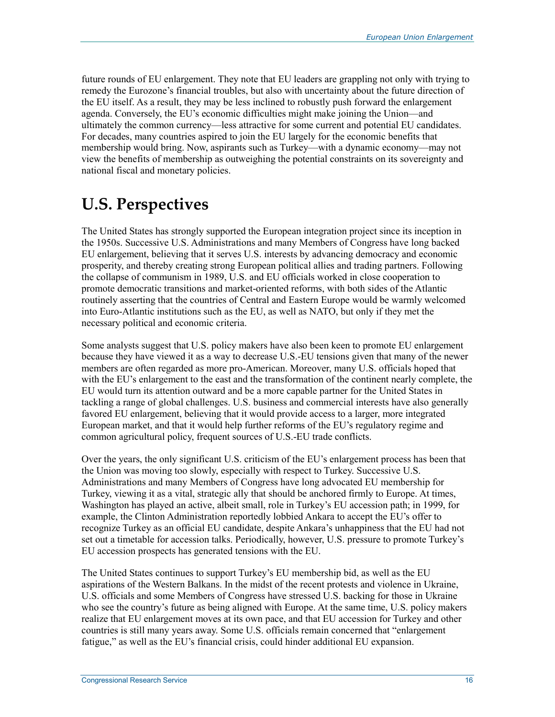future rounds of EU enlargement. They note that EU leaders are grappling not only with trying to remedy the Eurozone's financial troubles, but also with uncertainty about the future direction of the EU itself. As a result, they may be less inclined to robustly push forward the enlargement agenda. Conversely, the EU's economic difficulties might make joining the Union—and ultimately the common currency—less attractive for some current and potential EU candidates. For decades, many countries aspired to join the EU largely for the economic benefits that membership would bring. Now, aspirants such as Turkey—with a dynamic economy—may not view the benefits of membership as outweighing the potential constraints on its sovereignty and national fiscal and monetary policies.

# **U.S. Perspectives**

The United States has strongly supported the European integration project since its inception in the 1950s. Successive U.S. Administrations and many Members of Congress have long backed EU enlargement, believing that it serves U.S. interests by advancing democracy and economic prosperity, and thereby creating strong European political allies and trading partners. Following the collapse of communism in 1989, U.S. and EU officials worked in close cooperation to promote democratic transitions and market-oriented reforms, with both sides of the Atlantic routinely asserting that the countries of Central and Eastern Europe would be warmly welcomed into Euro-Atlantic institutions such as the EU, as well as NATO, but only if they met the necessary political and economic criteria.

Some analysts suggest that U.S. policy makers have also been keen to promote EU enlargement because they have viewed it as a way to decrease U.S.-EU tensions given that many of the newer members are often regarded as more pro-American. Moreover, many U.S. officials hoped that with the EU's enlargement to the east and the transformation of the continent nearly complete, the EU would turn its attention outward and be a more capable partner for the United States in tackling a range of global challenges. U.S. business and commercial interests have also generally favored EU enlargement, believing that it would provide access to a larger, more integrated European market, and that it would help further reforms of the EU's regulatory regime and common agricultural policy, frequent sources of U.S.-EU trade conflicts.

Over the years, the only significant U.S. criticism of the EU's enlargement process has been that the Union was moving too slowly, especially with respect to Turkey. Successive U.S. Administrations and many Members of Congress have long advocated EU membership for Turkey, viewing it as a vital, strategic ally that should be anchored firmly to Europe. At times, Washington has played an active, albeit small, role in Turkey's EU accession path; in 1999, for example, the Clinton Administration reportedly lobbied Ankara to accept the EU's offer to recognize Turkey as an official EU candidate, despite Ankara's unhappiness that the EU had not set out a timetable for accession talks. Periodically, however, U.S. pressure to promote Turkey's EU accession prospects has generated tensions with the EU.

The United States continues to support Turkey's EU membership bid, as well as the EU aspirations of the Western Balkans. In the midst of the recent protests and violence in Ukraine, U.S. officials and some Members of Congress have stressed U.S. backing for those in Ukraine who see the country's future as being aligned with Europe. At the same time, U.S. policy makers realize that EU enlargement moves at its own pace, and that EU accession for Turkey and other countries is still many years away. Some U.S. officials remain concerned that "enlargement fatigue," as well as the EU's financial crisis, could hinder additional EU expansion.